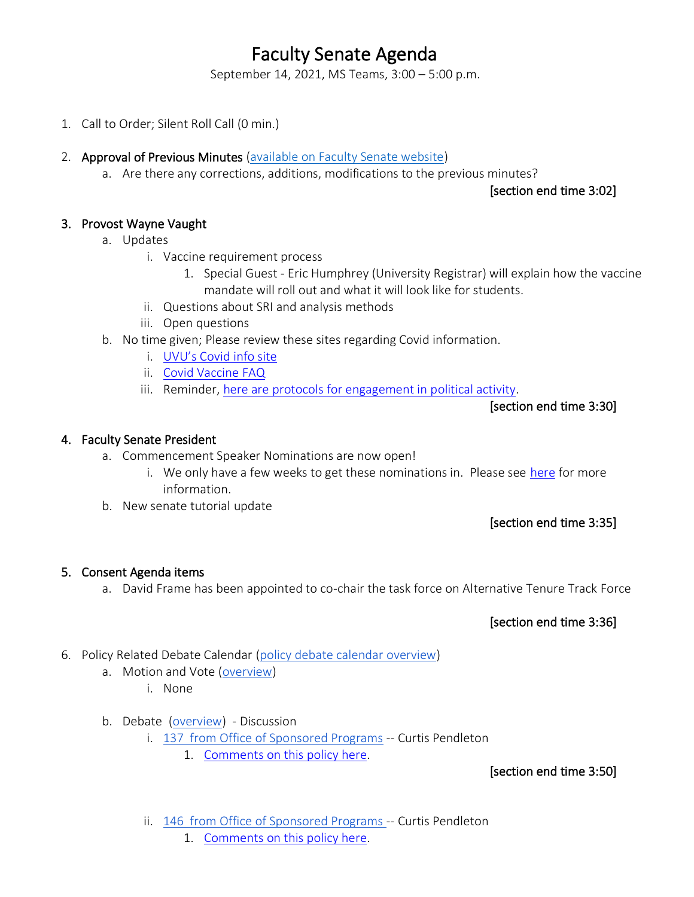# Faculty Senate Agenda

September 14, 2021, MS Teams, 3:00 – 5:00 p.m.

- 1. Call to Order; Silent Roll Call (0 min.)
- 2. Approval of Previous Minutes [\(available on Faculty Senate website\)](https://www.uvu.edu/facsenate/minutes.html)
	- a. Are there any corrections, additions, modifications to the previous minutes?

#### [section end time 3:02]

#### 3. Provost Wayne Vaught

- a. Updates
	- i. Vaccine requirement process
		- 1. Special Guest Eric Humphrey (University Registrar) will explain how the vaccine mandate will roll out and what it will look like for students.
	- ii. Questions about SRI and analysis methods
	- iii. Open questions
- b. No time given; Please review these sites regarding Covid information.
	- i. [UVU's Covid info site](https://www.uvu.edu/covidinfo/index.html)
	- ii. [Covid Vaccine FAQ](https://drive.google.com/file/d/12L8qSYFC1WGVzVmmh-SCO3VdJ5sW5aqB/view?usp=sharing)
	- iii. Reminder[, here are protocols for engagement in political activity.](https://www.uvu.edu/universityrelations/docs/politicalengagementprotocol.pdf)

[section end time 3:30]

#### 4. Faculty Senate President

- a. Commencement Speaker Nominations are now open!
	- i. We only have a few weeks to get these nominations in. Please see [here](https://docs.google.com/document/d/1sEdxoej9lqaAaa5I5PrbEa9BfyNJ0lkp4PH1AWRjQyY/edit?usp=sharing) for more information.
- b. New senate tutorial update

[section end time 3:35]

#### 5. Consent Agenda items

a. David Frame has been appointed to co-chair the task force on Alternative Tenure Track Force

#### [section end time 3:36]

- 6. Policy Related Debate Calendar [\(policy debate calendar overview\)](https://drive.google.com/file/d/1qcAYtZh5lFnIa680jE2JKGygThjeMyzK/view?usp=sharing)
	- a. Motion and Vote [\(overview\)](https://drive.google.com/file/d/1qcAYtZh5lFnIa680jE2JKGygThjeMyzK/view?usp=sharing)
		- i. None
	- b. Debate [\(overview\)](https://drive.google.com/file/d/1qcAYtZh5lFnIa680jE2JKGygThjeMyzK/view?usp=sharing) Discussion
		- i. 137 [from Office of Sponsored Programs](https://policy.uvu.edu/getDisplayFile/5750ed6497e4c89872d95665) -- Curtis Pendleton
			- 1. [Comments on this policy here.](https://docs.google.com/document/d/1Qvrj2oPgOLCLrlauqugObFqReu2HMT-kSbZoZ9uHwS8/edit?usp=sharing)

#### [section end time 3:50]

- ii. 146 [from Office of Sponsored Programs -](https://policy.uvu.edu/getDisplayFile/5750f1b197e4c89872d95673) Curtis Pendleton
	- 1. [Comments on this policy here.](https://docs.google.com/document/d/14_ydHubTJNAUitDuuVkK3lxiUPokR43D79OhNzIx9YQ/edit?usp=sharing)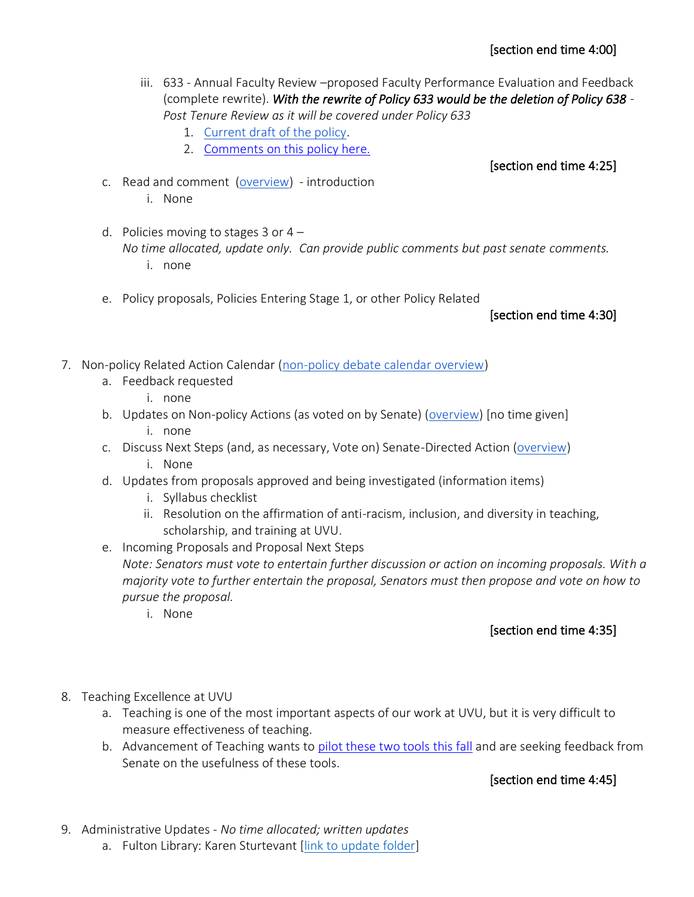- iii. 633 Annual Faculty Review –proposed Faculty Performance Evaluation and Feedback (complete rewrite). *With the rewrite of Policy 633 would be the deletion of Policy 638 - Post Tenure Review as it will be covered under Policy 633*
	- 1. [Current draft of the policy.](https://docs.google.com/document/d/165FcbmotArFpdu0_g9sKkOXZrbr3tDpf/edit?usp=sharing&ouid=107635503930651989069&rtpof=true&sd=true)
	- 2. [Comments](https://docs.google.com/document/d/1DjrzpI2GRJX7SRD1qFvst9jEdFHWbbeZVNF2DHaf1SQ/edit?usp=sharing) on this policy here.

[section end time 4:25]

- c. Read and comment [\(overview\)](https://drive.google.com/file/d/1qcAYtZh5lFnIa680jE2JKGygThjeMyzK/view?usp=sharing) introduction i. None
- d. Policies moving to stages  $3$  or  $4 -$ *No time allocated, update only. Can provide public comments but past senate comments.* i. none
- e. Policy proposals, Policies Entering Stage 1, or other Policy Related

[section end time 4:30]

- 7. Non-policy Related Action Calendar [\(non-policy debate calendar overview\)](https://docs.google.com/document/d/1zrPy0Fn9xcOhidd1XMgo1opj-lYb_9aTvLKg_NI1eLA/edit?usp=sharing)
	- a. Feedback requested
		- i. none
	- b. Updates on Non-policy Actions (as voted on by Senate) [\(overview\)](https://docs.google.com/document/d/1zrPy0Fn9xcOhidd1XMgo1opj-lYb_9aTvLKg_NI1eLA/edit#bookmark=id.20s1i57f673d) [no time given] i. none
	- c. Discuss Next Steps (and, as necessary, Vote on) Senate-Directed Action [\(overview\)](https://docs.google.com/document/d/1zrPy0Fn9xcOhidd1XMgo1opj-lYb_9aTvLKg_NI1eLA/edit#bookmark=id.1turi862unvt) i. None
	- d. Updates from proposals approved and being investigated (information items)
		- i. Syllabus checklist
		- ii. Resolution on the affirmation of anti-racism, inclusion, and diversity in teaching, scholarship, and training at UVU.
	- e. Incoming Proposals and Proposal Next Steps *Note: Senators must vote to entertain further discussion or action on incoming proposals. With a majority vote to further entertain the proposal, Senators must then propose and vote on how to pursue the proposal.*
		- i. None

### [section end time 4:35]

- 8. Teaching Excellence at UVU
	- a. Teaching is one of the most important aspects of our work at UVU, but it is very difficult to measure effectiveness of teaching.
	- b. Advancement of Teaching wants to [pilot these two tools this fall](https://www.uvu.edu/otl/peerobservation.html) and are seeking feedback from Senate on the usefulness of these tools.

## [section end time 4:45]

- 9. Administrative Updates *- No time allocated; written updates*
	- a. Fulton Library: Karen Sturtevant [\[link to update folder\]](https://drive.google.com/drive/folders/1CJZnOvFahmJJZJojR2XBd0U8PclC3aHK?usp=sharing)